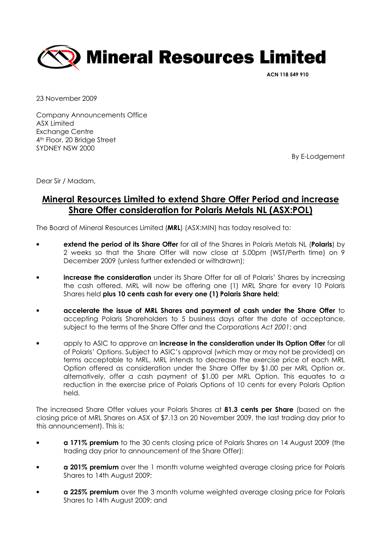

ACN 118 549 910

23 November 2009

Company Announcements Office ASX Limited Exchange Centre 4th Floor, 20 Bridge Street SYDNEY NSW 2000

By E-Lodgement

Dear Sir / Madam,

## Mineral Resources Limited to extend Share Offer Period and increase Share Offer consideration for Polaris Metals NL (ASX:POL)

The Board of Mineral Resources Limited (MRL) (ASX:MIN) has today resolved to:

- extend the period of its Share Offer for all of the Shares in Polaris Metals NL (Polaris) by 2 weeks so that the Share Offer will now close at 5.00pm (WST/Perth time) on 9 December 2009 (unless further extended or withdrawn);
- **increase the consideration** under its Share Offer for all of Polaris' Shares by increasing the cash offered. MRL will now be offering one (1) MRL Share for every 10 Polaris Shares held plus 10 cents cash for every one (1) Polaris Share held;
- accelerate the issue of MRL Shares and payment of cash under the Share Offer to accepting Polaris Shareholders to 5 business days after the date of acceptance, subject to the terms of the Share Offer and the Corporations Act 2001; and
- apply to ASIC to approve an **increase in the consideration under its Option Offer** for all of Polaris' Options. Subject to ASIC's approval (which may or may not be provided) on terms acceptable to MRL, MRL intends to decrease the exercise price of each MRL Option offered as consideration under the Share Offer by \$1.00 per MRL Option or, alternatively, offer a cash payment of \$1.00 per MRL Option. This equates to a reduction in the exercise price of Polaris Options of 10 cents for every Polaris Option held.

The increased Share Offer values your Polaris Shares at 81.3 cents per Share (based on the closing price of MRL Shares on ASX of \$7.13 on 20 November 2009, the last trading day prior to this announcement). This is:

- a 171% premium to the 30 cents closing price of Polaris Shares on 14 August 2009 (the trading day prior to announcement of the Share Offer);
- a 201% premium over the 1 month volume weighted average closing price for Polaris Shares to 14th August 2009;
- **a 225% premium** over the 3 month volume weighted average closing price for Polaris Shares to 14th August 2009; and